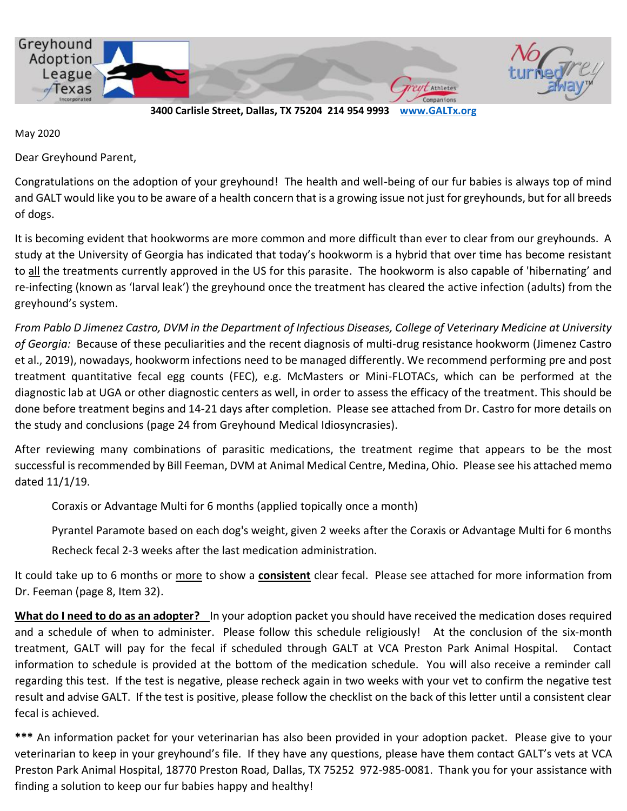

**3400 Carlisle Street, Dallas, TX 75204 214 954 9993 [www.GALTx.org](http://www.galtx.org/)** 

May 2020

Dear Greyhound Parent,

Congratulations on the adoption of your greyhound! The health and well-being of our fur babies is always top of mind and GALT would like you to be aware of a health concern that is a growing issue not just for greyhounds, but for all breeds of dogs.

It is becoming evident that hookworms are more common and more difficult than ever to clear from our greyhounds. A study at the University of Georgia has indicated that today's hookworm is a hybrid that over time has become resistant to all the treatments currently approved in the US for this parasite. The hookworm is also capable of 'hibernating' and re-infecting (known as 'larval leak') the greyhound once the treatment has cleared the active infection (adults) from the greyhound's system.

*From Pablo D Jimenez Castro, DVM in the Department of Infectious Diseases, College of Veterinary Medicine at University of Georgia:* Because of these peculiarities and the recent diagnosis of multi-drug resistance hookworm (Jimenez Castro et al., 2019), nowadays, hookworm infections need to be managed differently. We recommend performing pre and post treatment quantitative fecal egg counts (FEC), e.g. McMasters or Mini-FLOTACs, which can be performed at the diagnostic lab at UGA or other diagnostic centers as well, in order to assess the efficacy of the treatment. This should be done before treatment begins and 14-21 days after completion. Please see attached from Dr. Castro for more details on the study and conclusions (page 24 from Greyhound Medical Idiosyncrasies).

After reviewing many combinations of parasitic medications, the treatment regime that appears to be the most successful is recommended by Bill Feeman, DVM at Animal Medical Centre, Medina, Ohio. Please see his attached memo dated 11/1/19.

Coraxis or Advantage Multi for 6 months (applied topically once a month)

Pyrantel Paramote based on each dog's weight, given 2 weeks after the Coraxis or Advantage Multi for 6 months Recheck fecal 2-3 weeks after the last medication administration.

It could take up to 6 months or more to show a **consistent** clear fecal. Please see attached for more information from Dr. Feeman (page 8, Item 32).

**What do I need to do as an adopter?** In your adoption packet you should have received the medication doses required and a schedule of when to administer. Please follow this schedule religiously! At the conclusion of the six-month treatment, GALT will pay for the fecal if scheduled through GALT at VCA Preston Park Animal Hospital. Contact information to schedule is provided at the bottom of the medication schedule. You will also receive a reminder call regarding this test. If the test is negative, please recheck again in two weeks with your vet to confirm the negative test result and advise GALT. If the test is positive, please follow the checklist on the back of this letter until a consistent clear fecal is achieved.

**\*\*\*** An information packet for your veterinarian has also been provided in your adoption packet. Please give to your veterinarian to keep in your greyhound's file. If they have any questions, please have them contact GALT's vets at VCA Preston Park Animal Hospital, 18770 Preston Road, Dallas, TX 75252 972-985-0081. Thank you for your assistance with finding a solution to keep our fur babies happy and healthy!